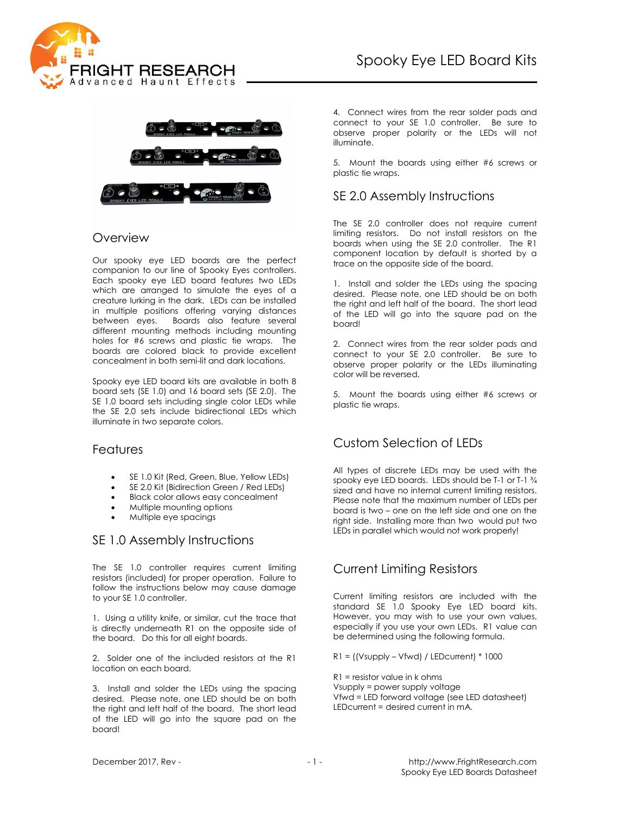



#### Overview

Our spooky eye LED boards are the perfect companion to our line of Spooky Eyes controllers. Each spooky eye LED board features two LEDs which are arranged to simulate the eyes of a creature lurking in the dark. LEDs can be installed in multiple positions offering varying distances<br>between eves. Boards also feature several Boards also feature several different mounting methods including mounting holes for #6 screws and plastic tie wraps. The boards are colored black to provide excellent concealment in both semi-lit and dark locations.

Spooky eye LED board kits are available in both 8 board sets (SE 1.0) and 16 board sets (SE 2.0). The SE 1.0 board sets including single color LEDs while the SE 2.0 sets include bidirectional LEDs which illuminate in two separate colors.

#### **Features**

- SE 1.0 Kit (Red, Green, Blue, Yellow LEDs)
- SE 2.0 Kit (Bidirection Green / Red LEDs)
- Black color allows easy concealment
- Multiple mounting options
- Multiple eye spacings

#### SE 1.0 Assembly Instructions

The SE 1.0 controller requires current limiting resistors (included) for proper operation. Failure to follow the instructions below may cause damage to your SE 1.0 controller.

1. Using a utility knife, or similar, cut the trace that is directly underneath R1 on the opposite side of the board. Do this for all eight boards.

2. Solder one of the included resistors at the R1 location on each board.

3. Install and solder the LEDs using the spacing desired. Please note, one LED should be on both the right and left half of the board. The short lead of the LED will go into the square pad on the board!

4. Connect wires from the rear solder pads and connect to your SE 1.0 controller. Be sure to observe proper polarity or the LEDs will not illuminate.

5. Mount the boards using either #6 screws or plastic tie wraps.

### SE 2.0 Assembly Instructions

The SE 2.0 controller does not require current limiting resistors. Do not install resistors on the boards when using the SE 2.0 controller. The R1 component location by default is shorted by a trace on the opposite side of the board.

1. Install and solder the LEDs using the spacing desired. Please note, one LED should be on both the right and left half of the board. The short lead of the LED will go into the square pad on the board!

2. Connect wires from the rear solder pads and connect to your SE 2.0 controller. Be sure to observe proper polarity or the LEDs illuminating color will be reversed.

5. Mount the boards using either #6 screws or plastic tie wraps.

# Custom Selection of LEDs

All types of discrete LEDs may be used with the spooky eye LED boards. LEDs should be T-1 or T-1 ¾ sized and have no internal current limiting resistors. Please note that the maximum number of LEDs per board is two – one on the left side and one on the right side. Installing more than two would put two LEDs in parallel which would not work properly!

### Current Limiting Resistors

Current limiting resistors are included with the standard SE 1.0 Spooky Eye LED board kits. However, you may wish to use your own values, especially if you use your own LEDs. R1 value can be determined using the following formula.

 $R1 =$  ((Vsupply – Vfwd) / LEDcurrent)  $*1000$ 

R1 = resistor value in k ohms Vsupply = power supply voltage Vfwd = LED forward voltage (see LED datasheet) LEDcurrent = desired current in mA.